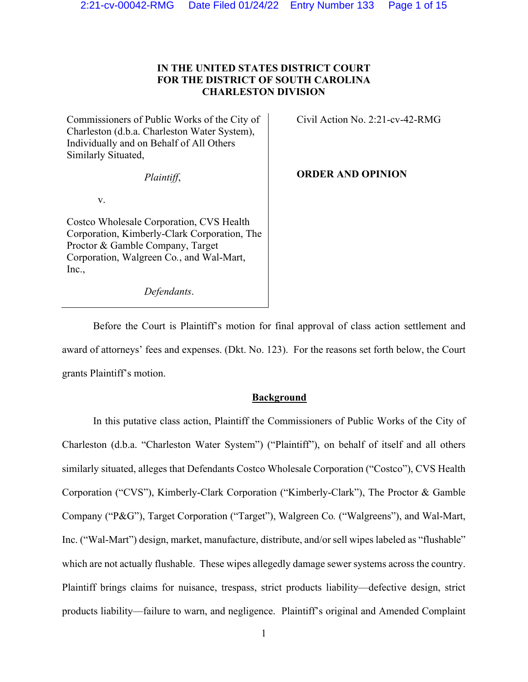# **IN THE UNITED STATES DISTRICT COURT FOR THE DISTRICT OF SOUTH CAROLINA CHARLESTON DIVISION**

Commissioners of Public Works of the City of Charleston (d.b.a. Charleston Water System), Individually and on Behalf of All Others Similarly Situated,

*Plaintiff*,

v.

Costco Wholesale Corporation, CVS Health Corporation, Kimberly-Clark Corporation, The Proctor & Gamble Company, Target Corporation, Walgreen Co*.*, and Wal-Mart, Inc.,

*Defendants*.

Civil Action No. 2:21-cv-42-RMG

**ORDER AND OPINION** 

Before the Court is Plaintiff's motion for final approval of class action settlement and award of attorneys' fees and expenses. (Dkt. No. 123). For the reasons set forth below, the Court grants Plaintiff's motion.

## **Background**

In this putative class action, Plaintiff the Commissioners of Public Works of the City of Charleston (d.b.a. "Charleston Water System") ("Plaintiff"), on behalf of itself and all others similarly situated, alleges that Defendants Costco Wholesale Corporation ("Costco"), CVS Health Corporation ("CVS"), Kimberly-Clark Corporation ("Kimberly-Clark"), The Proctor & Gamble Company ("P&G"), Target Corporation ("Target"), Walgreen Co*.* ("Walgreens"), and Wal-Mart, Inc. ("Wal-Mart") design, market, manufacture, distribute, and/or sell wipes labeled as "flushable" which are not actually flushable. These wipes allegedly damage sewer systems across the country. Plaintiff brings claims for nuisance, trespass, strict products liability—defective design, strict products liability—failure to warn, and negligence. Plaintiff's original and Amended Complaint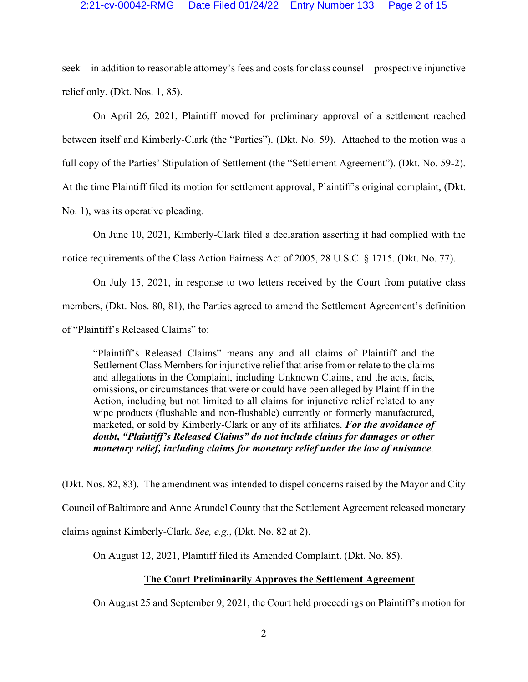seek—in addition to reasonable attorney's fees and costs for class counsel—prospective injunctive relief only. (Dkt. Nos. 1, 85).

On April 26, 2021, Plaintiff moved for preliminary approval of a settlement reached between itself and Kimberly-Clark (the "Parties"). (Dkt. No. 59). Attached to the motion was a full copy of the Parties' Stipulation of Settlement (the "Settlement Agreement"). (Dkt. No. 59-2). At the time Plaintiff filed its motion for settlement approval, Plaintiff's original complaint, (Dkt. No. 1), was its operative pleading.

On June 10, 2021, Kimberly-Clark filed a declaration asserting it had complied with the notice requirements of the Class Action Fairness Act of 2005, 28 U.S.C. § 1715. (Dkt. No. 77).

On July 15, 2021, in response to two letters received by the Court from putative class members, (Dkt. Nos. 80, 81), the Parties agreed to amend the Settlement Agreement's definition of "Plaintiff's Released Claims" to:

"Plaintiff's Released Claims" means any and all claims of Plaintiff and the Settlement Class Members for injunctive relief that arise from or relate to the claims and allegations in the Complaint, including Unknown Claims, and the acts, facts, omissions, or circumstances that were or could have been alleged by Plaintiff in the Action, including but not limited to all claims for injunctive relief related to any wipe products (flushable and non-flushable) currently or formerly manufactured, marketed, or sold by Kimberly-Clark or any of its affiliates. *For the avoidance of doubt, "Plaintiff's Released Claims" do not include claims for damages or other monetary relief, including claims for monetary relief under the law of nuisance*.

(Dkt. Nos. 82, 83). The amendment was intended to dispel concerns raised by the Mayor and City Council of Baltimore and Anne Arundel County that the Settlement Agreement released monetary claims against Kimberly-Clark. *See, e.g.*, (Dkt. No. 82 at 2).

On August 12, 2021, Plaintiff filed its Amended Complaint. (Dkt. No. 85).

## **The Court Preliminarily Approves the Settlement Agreement**

On August 25 and September 9, 2021, the Court held proceedings on Plaintiff's motion for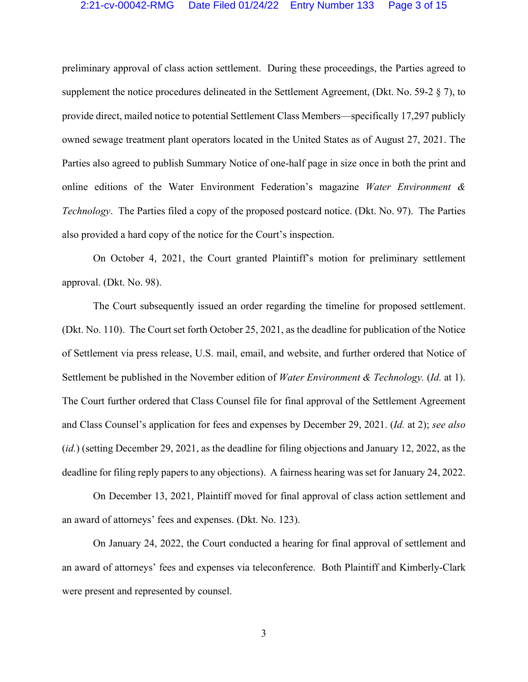preliminary approval of class action settlement. During these proceedings, the Parties agreed to supplement the notice procedures delineated in the Settlement Agreement, (Dkt. No. 59-2 § 7), to provide direct, mailed notice to potential Settlement Class Members—specifically 17,297 publicly owned sewage treatment plant operators located in the United States as of August 27, 2021. The Parties also agreed to publish Summary Notice of one-half page in size once in both the print and online editions of the Water Environment Federation's magazine *Water Environment & Technology*. The Parties filed a copy of the proposed postcard notice. (Dkt. No. 97). The Parties also provided a hard copy of the notice for the Court's inspection.

On October 4, 2021, the Court granted Plaintiff's motion for preliminary settlement approval. (Dkt. No. 98).

The Court subsequently issued an order regarding the timeline for proposed settlement. (Dkt. No. 110). The Court set forth October 25, 2021, as the deadline for publication of the Notice of Settlement via press release, U.S. mail, email, and website, and further ordered that Notice of Settlement be published in the November edition of *Water Environment & Technology.* (*Id.* at 1). The Court further ordered that Class Counsel file for final approval of the Settlement Agreement and Class Counsel's application for fees and expenses by December 29, 2021. (*Id.* at 2); *see also*  (*id.*) (setting December 29, 2021, as the deadline for filing objections and January 12, 2022, as the deadline for filing reply papers to any objections). A fairness hearing was set for January 24, 2022.

On December 13, 2021, Plaintiff moved for final approval of class action settlement and an award of attorneys' fees and expenses. (Dkt. No. 123).

On January 24, 2022, the Court conducted a hearing for final approval of settlement and an award of attorneys' fees and expenses via teleconference. Both Plaintiff and Kimberly-Clark were present and represented by counsel.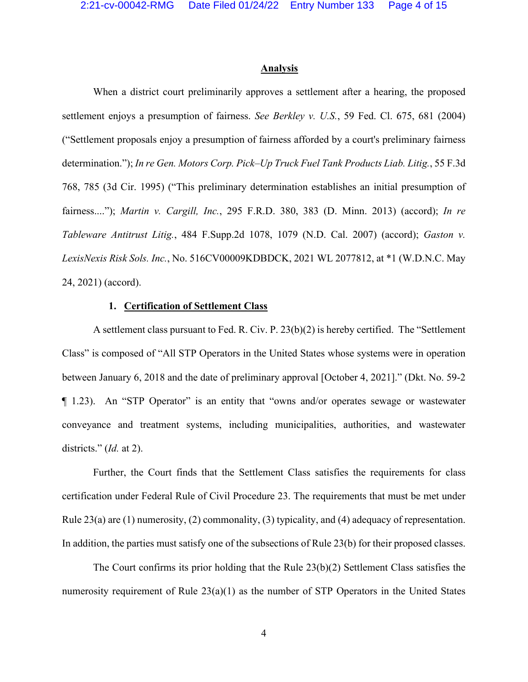#### **Analysis**

When a district court preliminarily approves a settlement after a hearing, the proposed settlement enjoys a presumption of fairness. *See Berkley v. U.S.*, 59 Fed. Cl. 675, 681 (2004) ("Settlement proposals enjoy a presumption of fairness afforded by a court's preliminary fairness determination."); *In re Gen. Motors Corp. Pick–Up Truck Fuel Tank Products Liab. Litig.*, 55 F.3d 768, 785 (3d Cir. 1995) ("This preliminary determination establishes an initial presumption of fairness...."); *Martin v. Cargill, Inc.*, 295 F.R.D. 380, 383 (D. Minn. 2013) (accord); *In re Tableware Antitrust Litig.*, 484 F.Supp.2d 1078, 1079 (N.D. Cal. 2007) (accord); *Gaston v. LexisNexis Risk Sols. Inc.*, No. 516CV00009KDBDCK, 2021 WL 2077812, at \*1 (W.D.N.C. May 24, 2021) (accord).

## **1. Certification of Settlement Class**

A settlement class pursuant to Fed. R. Civ. P. 23(b)(2) is hereby certified. The "Settlement Class" is composed of "All STP Operators in the United States whose systems were in operation between January 6, 2018 and the date of preliminary approval [October 4, 2021]." (Dkt. No. 59-2 ¶ 1.23). An "STP Operator" is an entity that "owns and/or operates sewage or wastewater conveyance and treatment systems, including municipalities, authorities, and wastewater districts." (*Id.* at 2).

Further, the Court finds that the Settlement Class satisfies the requirements for class certification under Federal Rule of Civil Procedure 23. The requirements that must be met under Rule 23(a) are (1) numerosity, (2) commonality, (3) typicality, and (4) adequacy of representation. In addition, the parties must satisfy one of the subsections of Rule 23(b) for their proposed classes.

The Court confirms its prior holding that the Rule 23(b)(2) Settlement Class satisfies the numerosity requirement of Rule 23(a)(1) as the number of STP Operators in the United States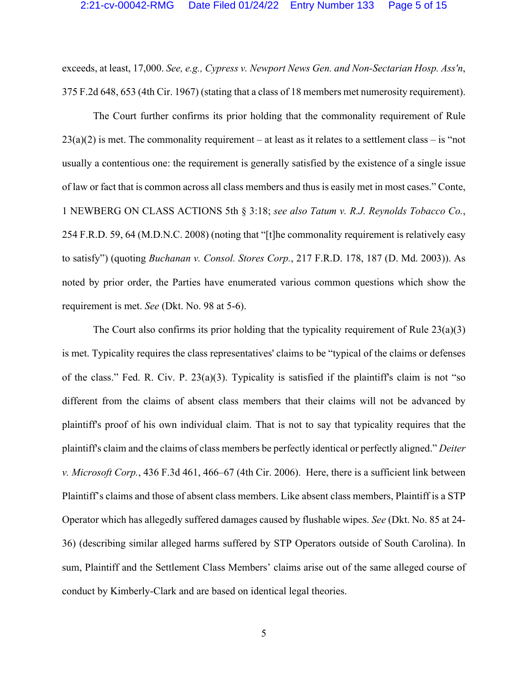exceeds, at least, 17,000. *See, e.g., Cypress v. Newport News Gen. and Non-Sectarian Hosp. Ass'n*, 375 F.2d 648, 653 (4th Cir. 1967) (stating that a class of 18 members met numerosity requirement).

The Court further confirms its prior holding that the commonality requirement of Rule  $23(a)(2)$  is met. The commonality requirement – at least as it relates to a settlement class – is "not usually a contentious one: the requirement is generally satisfied by the existence of a single issue of law or fact that is common across all class members and thus is easily met in most cases." Conte, 1 NEWBERG ON CLASS ACTIONS 5th § 3:18; *see also Tatum v. R.J. Reynolds Tobacco Co.*, 254 F.R.D. 59, 64 (M.D.N.C. 2008) (noting that "[t]he commonality requirement is relatively easy to satisfy") (quoting *Buchanan v. Consol. Stores Corp.*, 217 F.R.D. 178, 187 (D. Md. 2003)). As noted by prior order, the Parties have enumerated various common questions which show the requirement is met. *See* (Dkt. No. 98 at 5-6).

The Court also confirms its prior holding that the typicality requirement of Rule 23(a)(3) is met. Typicality requires the class representatives' claims to be "typical of the claims or defenses of the class." Fed. R. Civ. P.  $23(a)(3)$ . Typicality is satisfied if the plaintiff's claim is not "so different from the claims of absent class members that their claims will not be advanced by plaintiff's proof of his own individual claim. That is not to say that typicality requires that the plaintiff's claim and the claims of class members be perfectly identical or perfectly aligned." *Deiter v. Microsoft Corp.*, 436 F.3d 461, 466–67 (4th Cir. 2006). Here, there is a sufficient link between Plaintiff's claims and those of absent class members. Like absent class members, Plaintiff is a STP Operator which has allegedly suffered damages caused by flushable wipes. *See* (Dkt. No. 85 at 24- 36) (describing similar alleged harms suffered by STP Operators outside of South Carolina). In sum, Plaintiff and the Settlement Class Members' claims arise out of the same alleged course of conduct by Kimberly-Clark and are based on identical legal theories.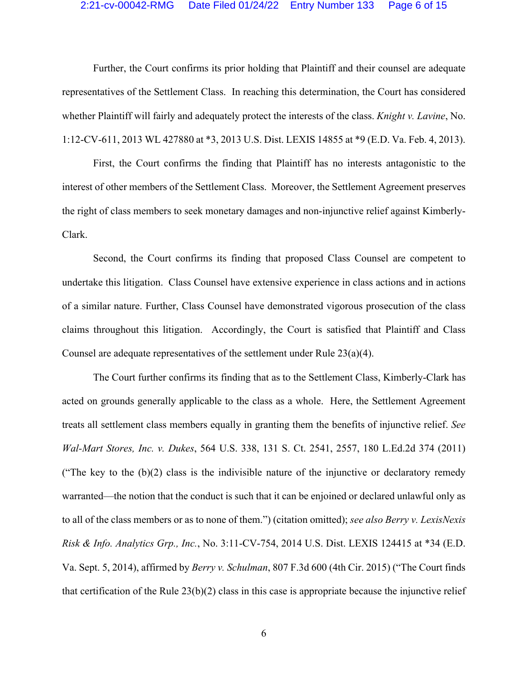#### 2:21-cv-00042-RMG Date Filed 01/24/22 Entry Number 133 Page 6 of 15

Further, the Court confirms its prior holding that Plaintiff and their counsel are adequate representatives of the Settlement Class. In reaching this determination, the Court has considered whether Plaintiff will fairly and adequately protect the interests of the class. *Knight v. Lavine*, No. 1:12-CV-611, 2013 WL 427880 at \*3, 2013 U.S. Dist. LEXIS 14855 at \*9 (E.D. Va. Feb. 4, 2013).

First, the Court confirms the finding that Plaintiff has no interests antagonistic to the interest of other members of the Settlement Class. Moreover, the Settlement Agreement preserves the right of class members to seek monetary damages and non-injunctive relief against Kimberly-Clark.

Second, the Court confirms its finding that proposed Class Counsel are competent to undertake this litigation. Class Counsel have extensive experience in class actions and in actions of a similar nature. Further, Class Counsel have demonstrated vigorous prosecution of the class claims throughout this litigation. Accordingly, the Court is satisfied that Plaintiff and Class Counsel are adequate representatives of the settlement under Rule 23(a)(4).

The Court further confirms its finding that as to the Settlement Class, Kimberly-Clark has acted on grounds generally applicable to the class as a whole. Here, the Settlement Agreement treats all settlement class members equally in granting them the benefits of injunctive relief. *See Wal-Mart Stores, Inc. v. Dukes*, 564 U.S. 338, 131 S. Ct. 2541, 2557, 180 L.Ed.2d 374 (2011) ("The key to the  $(b)(2)$  class is the indivisible nature of the injunctive or declaratory remedy warranted—the notion that the conduct is such that it can be enjoined or declared unlawful only as to all of the class members or as to none of them.") (citation omitted); *see also Berry v. LexisNexis Risk & Info. Analytics Grp., Inc.*, No. 3:11-CV-754, 2014 U.S. Dist. LEXIS 124415 at \*34 (E.D. Va. Sept. 5, 2014), affirmed by *Berry v. Schulman*, 807 F.3d 600 (4th Cir. 2015) ("The Court finds that certification of the Rule 23(b)(2) class in this case is appropriate because the injunctive relief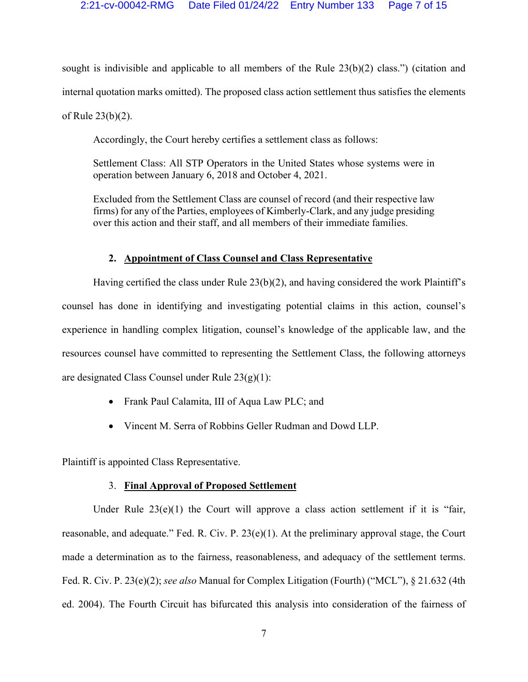sought is indivisible and applicable to all members of the Rule  $23(b)(2)$  class.") (citation and internal quotation marks omitted). The proposed class action settlement thus satisfies the elements of Rule 23(b)(2).

Accordingly, the Court hereby certifies a settlement class as follows:

Settlement Class: All STP Operators in the United States whose systems were in operation between January 6, 2018 and October 4, 2021.

Excluded from the Settlement Class are counsel of record (and their respective law firms) for any of the Parties, employees of Kimberly-Clark, and any judge presiding over this action and their staff, and all members of their immediate families.

## **2. Appointment of Class Counsel and Class Representative**

Having certified the class under Rule  $23(b)(2)$ , and having considered the work Plaintiff's counsel has done in identifying and investigating potential claims in this action, counsel's experience in handling complex litigation, counsel's knowledge of the applicable law, and the resources counsel have committed to representing the Settlement Class, the following attorneys are designated Class Counsel under Rule 23(g)(1):

- Frank Paul Calamita, III of Aqua Law PLC; and
- Vincent M. Serra of Robbins Geller Rudman and Dowd LLP.

Plaintiff is appointed Class Representative.

## 3. **Final Approval of Proposed Settlement**

Under Rule  $23(e)(1)$  the Court will approve a class action settlement if it is "fair, reasonable, and adequate." Fed. R. Civ. P. 23(e)(1). At the preliminary approval stage, the Court made a determination as to the fairness, reasonableness, and adequacy of the settlement terms. Fed. R. Civ. P. 23(e)(2); *see also* Manual for Complex Litigation (Fourth) ("MCL"), § 21.632 (4th ed. 2004). The Fourth Circuit has bifurcated this analysis into consideration of the fairness of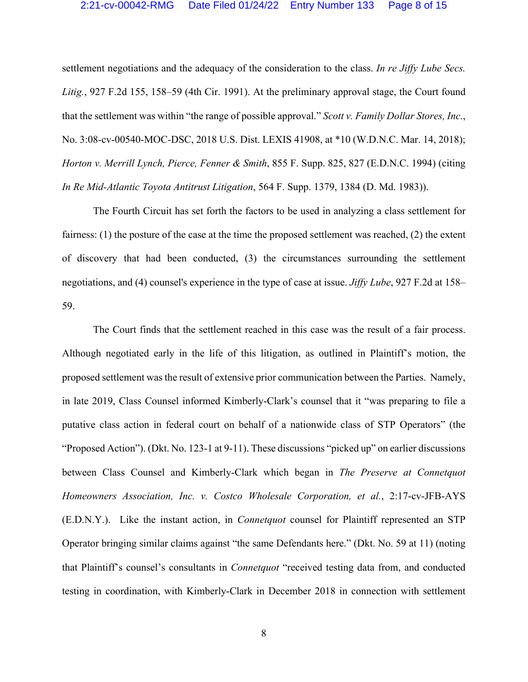settlement negotiations and the adequacy of the consideration to the class. *In re Jiffy Lube Secs. Litig.*, 927 F.2d 155, 158–59 (4th Cir. 1991). At the preliminary approval stage, the Court found that the settlement was within "the range of possible approval." *Scott v. Family Dollar Stores, Inc.*, No. 3:08-cv-00540-MOC-DSC, 2018 U.S. Dist. LEXIS 41908, at \*10 (W.D.N.C. Mar. 14, 2018); *Horton v. Merrill Lynch, Pierce, Fenner & Smith*, 855 F. Supp. 825, 827 (E.D.N.C. 1994) (citing *In Re Mid-Atlantic Toyota Antitrust Litigation*, 564 F. Supp. 1379, 1384 (D. Md. 1983)).

The Fourth Circuit has set forth the factors to be used in analyzing a class settlement for fairness: (1) the posture of the case at the time the proposed settlement was reached, (2) the extent of discovery that had been conducted, (3) the circumstances surrounding the settlement negotiations, and (4) counsel's experience in the type of case at issue. *Jiffy Lube*, 927 F.2d at 158– 59.

The Court finds that the settlement reached in this case was the result of a fair process. Although negotiated early in the life of this litigation, as outlined in Plaintiff's motion, the proposed settlement was the result of extensive prior communication between the Parties. Namely, in late 2019, Class Counsel informed Kimberly-Clark's counsel that it "was preparing to file a putative class action in federal court on behalf of a nationwide class of STP Operators" (the "Proposed Action"). (Dkt. No. 123-1 at 9-11). These discussions "picked up" on earlier discussions between Class Counsel and Kimberly-Clark which began in *The Preserve at Connetquot Homeowners Association, Inc. v. Costco Wholesale Corporation, et al.*, 2:17-cv-JFB-AYS (E.D.N.Y.). Like the instant action, in *Connetquot* counsel for Plaintiff represented an STP Operator bringing similar claims against "the same Defendants here." (Dkt. No. 59 at 11) (noting that Plaintiff's counsel's consultants in *Connetquot* "received testing data from, and conducted testing in coordination, with Kimberly-Clark in December 2018 in connection with settlement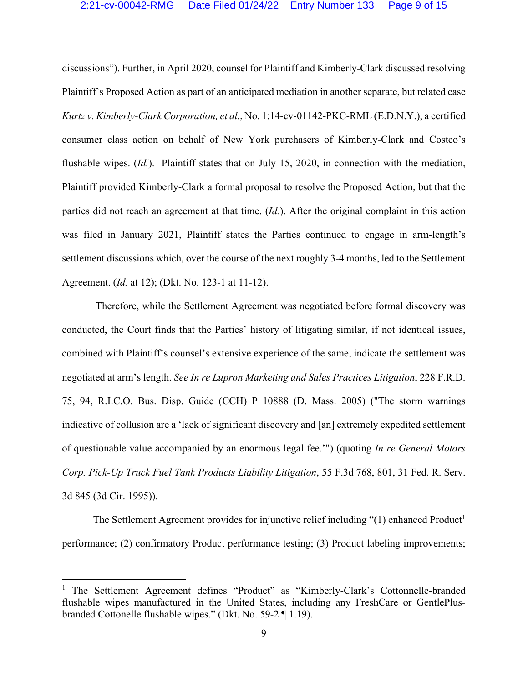discussions"). Further, in April 2020, counsel for Plaintiff and Kimberly-Clark discussed resolving Plaintiff's Proposed Action as part of an anticipated mediation in another separate, but related case *Kurtz v. Kimberly-Clark Corporation, et al.*, No. 1:14-cv-01142-PKC-RML (E.D.N.Y.), a certified consumer class action on behalf of New York purchasers of Kimberly-Clark and Costco's flushable wipes. (*Id.*). Plaintiff states that on July 15, 2020, in connection with the mediation, Plaintiff provided Kimberly-Clark a formal proposal to resolve the Proposed Action, but that the parties did not reach an agreement at that time. (*Id.*). After the original complaint in this action was filed in January 2021, Plaintiff states the Parties continued to engage in arm-length's settlement discussions which, over the course of the next roughly 3-4 months, led to the Settlement Agreement. (*Id.* at 12); (Dkt. No. 123-1 at 11-12).

 Therefore, while the Settlement Agreement was negotiated before formal discovery was conducted, the Court finds that the Parties' history of litigating similar, if not identical issues, combined with Plaintiff's counsel's extensive experience of the same, indicate the settlement was negotiated at arm's length. *See In re Lupron Marketing and Sales Practices Litigation*, 228 F.R.D. 75, 94, R.I.C.O. Bus. Disp. Guide (CCH) P 10888 (D. Mass. 2005) ("The storm warnings indicative of collusion are a 'lack of significant discovery and [an] extremely expedited settlement of questionable value accompanied by an enormous legal fee.'") (quoting *In re General Motors Corp. Pick-Up Truck Fuel Tank Products Liability Litigation*, 55 F.3d 768, 801, 31 Fed. R. Serv. 3d 845 (3d Cir. 1995)).

The Settlement Agreement provides for injunctive relief including  $\degree(1)$  enhanced Product<sup>1</sup> performance; (2) confirmatory Product performance testing; (3) Product labeling improvements;

<sup>&</sup>lt;sup>1</sup> The Settlement Agreement defines "Product" as "Kimberly-Clark's Cottonnelle-branded flushable wipes manufactured in the United States, including any FreshCare or GentlePlusbranded Cottonelle flushable wipes." (Dkt. No. 59-2 ¶ 1.19).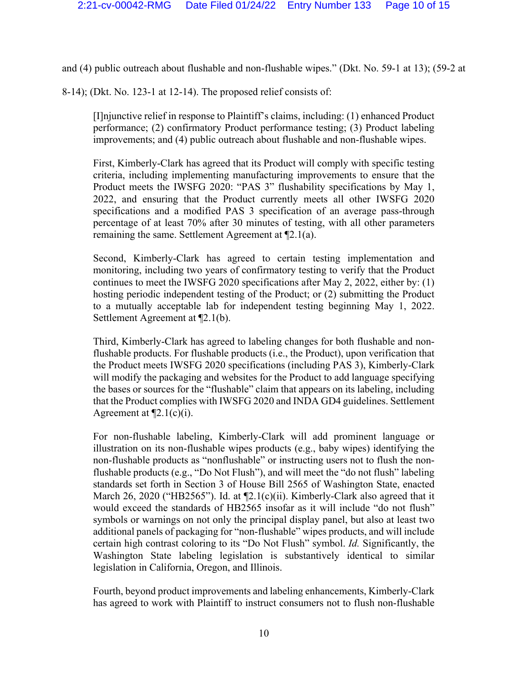and (4) public outreach about flushable and non-flushable wipes." (Dkt. No. 59-1 at 13); (59-2 at

8-14); (Dkt. No. 123-1 at 12-14). The proposed relief consists of:

[I]njunctive relief in response to Plaintiff's claims, including: (1) enhanced Product performance; (2) confirmatory Product performance testing; (3) Product labeling improvements; and (4) public outreach about flushable and non-flushable wipes.

First, Kimberly-Clark has agreed that its Product will comply with specific testing criteria, including implementing manufacturing improvements to ensure that the Product meets the IWSFG 2020: "PAS 3" flushability specifications by May 1, 2022, and ensuring that the Product currently meets all other IWSFG 2020 specifications and a modified PAS 3 specification of an average pass-through percentage of at least 70% after 30 minutes of testing, with all other parameters remaining the same. Settlement Agreement at ¶2.1(a).

Second, Kimberly-Clark has agreed to certain testing implementation and monitoring, including two years of confirmatory testing to verify that the Product continues to meet the IWSFG 2020 specifications after May 2, 2022, either by: (1) hosting periodic independent testing of the Product; or (2) submitting the Product to a mutually acceptable lab for independent testing beginning May 1, 2022. Settlement Agreement at ¶2.1(b).

Third, Kimberly-Clark has agreed to labeling changes for both flushable and nonflushable products. For flushable products (i.e., the Product), upon verification that the Product meets IWSFG 2020 specifications (including PAS 3), Kimberly-Clark will modify the packaging and websites for the Product to add language specifying the bases or sources for the "flushable" claim that appears on its labeling, including that the Product complies with IWSFG 2020 and INDA GD4 guidelines. Settlement Agreement at  $\P$ 2.1(c)(i).

For non-flushable labeling, Kimberly-Clark will add prominent language or illustration on its non-flushable wipes products (e.g., baby wipes) identifying the non-flushable products as "nonflushable" or instructing users not to flush the nonflushable products (e.g., "Do Not Flush"), and will meet the "do not flush" labeling standards set forth in Section 3 of House Bill 2565 of Washington State, enacted March 26, 2020 ("HB2565"). Id. at  $[2.1(c)(ii)$ . Kimberly-Clark also agreed that it would exceed the standards of HB2565 insofar as it will include "do not flush" symbols or warnings on not only the principal display panel, but also at least two additional panels of packaging for "non-flushable" wipes products, and will include certain high contrast coloring to its "Do Not Flush" symbol. *Id.* Significantly, the Washington State labeling legislation is substantively identical to similar legislation in California, Oregon, and Illinois.

Fourth, beyond product improvements and labeling enhancements, Kimberly-Clark has agreed to work with Plaintiff to instruct consumers not to flush non-flushable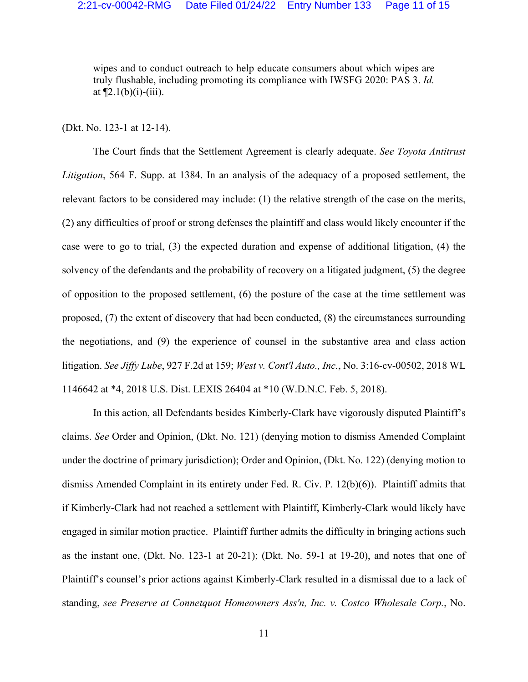wipes and to conduct outreach to help educate consumers about which wipes are truly flushable, including promoting its compliance with IWSFG 2020: PAS 3. *Id.* at  $\P$ 2.1(b)(i)-(iii).

(Dkt. No. 123-1 at 12-14).

The Court finds that the Settlement Agreement is clearly adequate. *See Toyota Antitrust Litigation*, 564 F. Supp. at 1384. In an analysis of the adequacy of a proposed settlement, the relevant factors to be considered may include: (1) the relative strength of the case on the merits, (2) any difficulties of proof or strong defenses the plaintiff and class would likely encounter if the case were to go to trial, (3) the expected duration and expense of additional litigation, (4) the solvency of the defendants and the probability of recovery on a litigated judgment, (5) the degree of opposition to the proposed settlement, (6) the posture of the case at the time settlement was proposed, (7) the extent of discovery that had been conducted, (8) the circumstances surrounding the negotiations, and (9) the experience of counsel in the substantive area and class action litigation. *See Jiffy Lube*, 927 F.2d at 159; *West v. Cont'l Auto., Inc.*, No. 3:16-cv-00502, 2018 WL 1146642 at \*4, 2018 U.S. Dist. LEXIS 26404 at \*10 (W.D.N.C. Feb. 5, 2018).

In this action, all Defendants besides Kimberly-Clark have vigorously disputed Plaintiff's claims. *See* Order and Opinion, (Dkt. No. 121) (denying motion to dismiss Amended Complaint under the doctrine of primary jurisdiction); Order and Opinion, (Dkt. No. 122) (denying motion to dismiss Amended Complaint in its entirety under Fed. R. Civ. P. 12(b)(6)). Plaintiff admits that if Kimberly-Clark had not reached a settlement with Plaintiff, Kimberly-Clark would likely have engaged in similar motion practice. Plaintiff further admits the difficulty in bringing actions such as the instant one, (Dkt. No. 123-1 at 20-21); (Dkt. No. 59-1 at 19-20), and notes that one of Plaintiff's counsel's prior actions against Kimberly-Clark resulted in a dismissal due to a lack of standing, *see Preserve at Connetquot Homeowners Ass'n, Inc. v. Costco Wholesale Corp.*, No.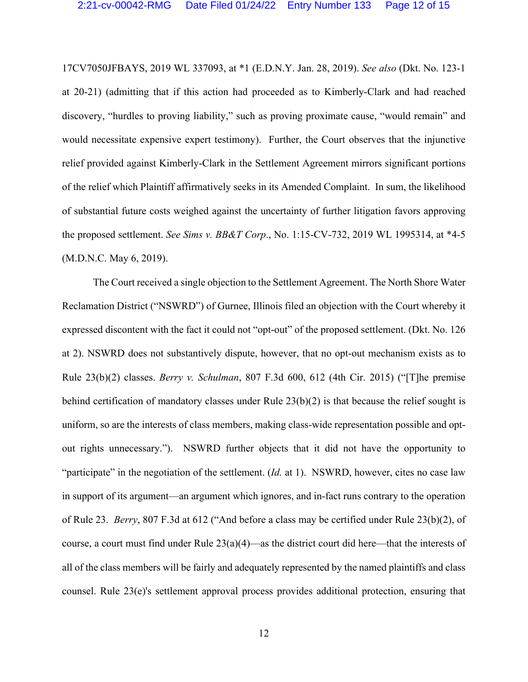17CV7050JFBAYS, 2019 WL 337093, at \*1 (E.D.N.Y. Jan. 28, 2019). *See also* (Dkt. No. 123-1 at 20-21) (admitting that if this action had proceeded as to Kimberly-Clark and had reached discovery, "hurdles to proving liability," such as proving proximate cause, "would remain" and would necessitate expensive expert testimony). Further, the Court observes that the injunctive relief provided against Kimberly-Clark in the Settlement Agreement mirrors significant portions of the relief which Plaintiff affirmatively seeks in its Amended Complaint. In sum, the likelihood of substantial future costs weighed against the uncertainty of further litigation favors approving the proposed settlement. *See Sims v. BB&T Corp*., No. 1:15-CV-732, 2019 WL 1995314, at \*4-5 (M.D.N.C. May 6, 2019).

The Court received a single objection to the Settlement Agreement. The North Shore Water Reclamation District ("NSWRD") of Gurnee, Illinois filed an objection with the Court whereby it expressed discontent with the fact it could not "opt-out" of the proposed settlement. (Dkt. No. 126 at 2). NSWRD does not substantively dispute, however, that no opt-out mechanism exists as to Rule 23(b)(2) classes. *Berry v. Schulman*, 807 F.3d 600, 612 (4th Cir. 2015) ("[T]he premise behind certification of mandatory classes under Rule 23(b)(2) is that because the relief sought is uniform, so are the interests of class members, making class-wide representation possible and optout rights unnecessary."). NSWRD further objects that it did not have the opportunity to "participate" in the negotiation of the settlement. (*Id.* at 1). NSWRD, however, cites no case law in support of its argument—an argument which ignores, and in-fact runs contrary to the operation of Rule 23. *Berry*, 807 F.3d at 612 ("And before a class may be certified under Rule 23(b)(2), of course, a court must find under Rule 23(a)(4)—as the district court did here—that the interests of all of the class members will be fairly and adequately represented by the named plaintiffs and class counsel. Rule 23(e)'s settlement approval process provides additional protection, ensuring that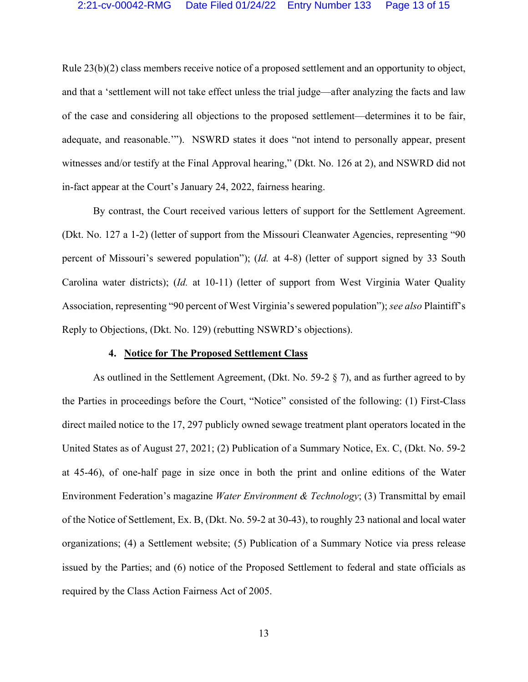Rule 23(b)(2) class members receive notice of a proposed settlement and an opportunity to object, and that a 'settlement will not take effect unless the trial judge—after analyzing the facts and law of the case and considering all objections to the proposed settlement—determines it to be fair, adequate, and reasonable.'"). NSWRD states it does "not intend to personally appear, present witnesses and/or testify at the Final Approval hearing," (Dkt. No. 126 at 2), and NSWRD did not in-fact appear at the Court's January 24, 2022, fairness hearing.

By contrast, the Court received various letters of support for the Settlement Agreement. (Dkt. No. 127 a 1-2) (letter of support from the Missouri Cleanwater Agencies, representing "90 percent of Missouri's sewered population"); (*Id.* at 4-8) (letter of support signed by 33 South Carolina water districts); (*Id.* at 10-11) (letter of support from West Virginia Water Quality Association, representing "90 percent of West Virginia's sewered population"); *see also* Plaintiff's Reply to Objections, (Dkt. No. 129) (rebutting NSWRD's objections).

#### **4. Notice for The Proposed Settlement Class**

As outlined in the Settlement Agreement, (Dkt. No. 59-2 § 7), and as further agreed to by the Parties in proceedings before the Court, "Notice" consisted of the following: (1) First-Class direct mailed notice to the 17, 297 publicly owned sewage treatment plant operators located in the United States as of August 27, 2021; (2) Publication of a Summary Notice, Ex. C, (Dkt. No. 59-2 at 45-46), of one-half page in size once in both the print and online editions of the Water Environment Federation's magazine *Water Environment & Technology*; (3) Transmittal by email of the Notice of Settlement, Ex. B, (Dkt. No. 59-2 at 30-43), to roughly 23 national and local water organizations; (4) a Settlement website; (5) Publication of a Summary Notice via press release issued by the Parties; and (6) notice of the Proposed Settlement to federal and state officials as required by the Class Action Fairness Act of 2005.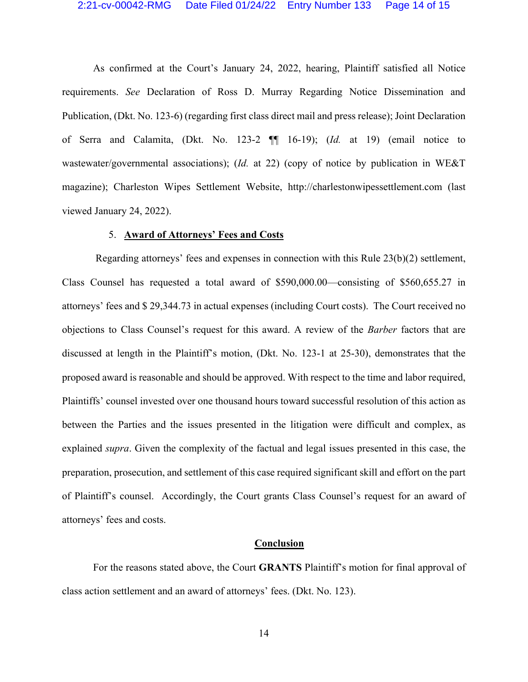## 2:21-cv-00042-RMG Date Filed 01/24/22 Entry Number 133 Page 14 of 15

As confirmed at the Court's January 24, 2022, hearing, Plaintiff satisfied all Notice requirements. *See* Declaration of Ross D. Murray Regarding Notice Dissemination and Publication, (Dkt. No. 123-6) (regarding first class direct mail and press release); Joint Declaration of Serra and Calamita, (Dkt. No. 123-2 ¶¶ 16-19); (*Id.* at 19) (email notice to wastewater/governmental associations); (*Id.* at 22) (copy of notice by publication in WE&T magazine); Charleston Wipes Settlement Website, http://charlestonwipessettlement.com (last viewed January 24, 2022).

#### 5. **Award of Attorneys' Fees and Costs**

 Regarding attorneys' fees and expenses in connection with this Rule 23(b)(2) settlement, Class Counsel has requested a total award of \$590,000.00—consisting of \$560,655.27 in attorneys' fees and \$ 29,344.73 in actual expenses (including Court costs). The Court received no objections to Class Counsel's request for this award. A review of the *Barber* factors that are discussed at length in the Plaintiff's motion, (Dkt. No. 123-1 at 25-30), demonstrates that the proposed award is reasonable and should be approved. With respect to the time and labor required, Plaintiffs' counsel invested over one thousand hours toward successful resolution of this action as between the Parties and the issues presented in the litigation were difficult and complex, as explained *supra*. Given the complexity of the factual and legal issues presented in this case, the preparation, prosecution, and settlement of this case required significant skill and effort on the part of Plaintiff's counsel. Accordingly, the Court grants Class Counsel's request for an award of attorneys' fees and costs.

#### **Conclusion**

For the reasons stated above, the Court **GRANTS** Plaintiff's motion for final approval of class action settlement and an award of attorneys' fees. (Dkt. No. 123).